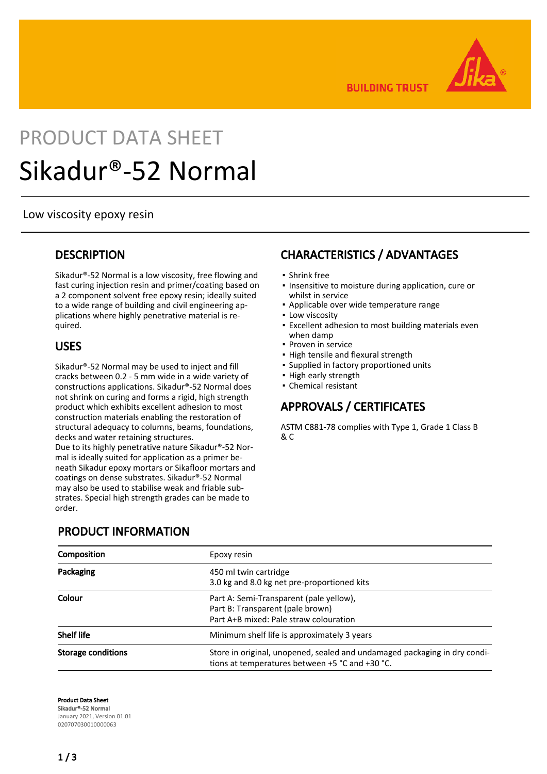

**BUILDING TRUST** 

# PRODUCT DATA SHEET Sikadur®-52 Normal

#### Low viscosity epoxy resin

#### **DESCRIPTION**

Sikadur®-52 Normal is a low viscosity, free flowing and fast curing injection resin and primer/coating based on a 2 component solvent free epoxy resin; ideally suited to a wide range of building and civil engineering applications where highly penetrative material is required.

#### USES

Sikadur®-52 Normal may be used to inject and fill cracks between 0.2 - 5 mm wide in a wide variety of constructions applications. Sikadur®-52 Normal does not shrink on curing and forms a rigid, high strength product which exhibits excellent adhesion to most construction materials enabling the restoration of structural adequacy to columns, beams, foundations, decks and water retaining structures. Due to its highly penetrative nature Sikadur®-52 Normal is ideally suited for application as a primer beneath Sikadur epoxy mortars or Sikafloor mortars and coatings on dense substrates. Sikadur®-52 Normal may also be used to stabilise weak and friable substrates. Special high strength grades can be made to order.

# PRODUCT INFORMATION

# CHARACTERISTICS / ADVANTAGES

- **· Shrink free**
- **.** Insensitive to moisture during application, cure or whilst in service
- Applicable over wide temperature range
- **.** Low viscosity
- **Excellent adhesion to most building materials even** when damp
- **Proven in service**
- **.** High tensile and flexural strength
- Supplied in factory proportioned units
- High early strength
- Chemical resistant

# APPROVALS / CERTIFICATES

ASTM C881-78 complies with Type 1, Grade 1 Class B & C

| <b>Composition</b>        | Epoxy resin                                                                                                                  |  |
|---------------------------|------------------------------------------------------------------------------------------------------------------------------|--|
| Packaging                 | 450 ml twin cartridge<br>3.0 kg and 8.0 kg net pre-proportioned kits                                                         |  |
| Colour                    | Part A: Semi-Transparent (pale yellow),<br>Part B: Transparent (pale brown)<br>Part A+B mixed: Pale straw colouration        |  |
| <b>Shelf life</b>         | Minimum shelf life is approximately 3 years                                                                                  |  |
| <b>Storage conditions</b> | Store in original, unopened, sealed and undamaged packaging in dry condi-<br>tions at temperatures between +5 °C and +30 °C. |  |

Product Data Sheet Sikadur®-52 Normal January 2021, Version 01.01 020707030010000063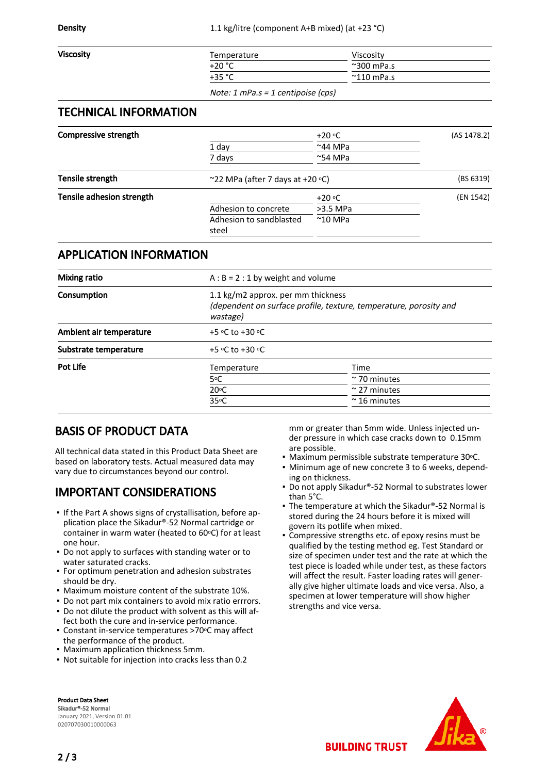| <b>Viscosity</b> | Temperature | Viscositv            |
|------------------|-------------|----------------------|
|                  | $+20 °C$    | $~^{\sim}$ 300 mPa.s |
|                  | $+35 °C$    | $^{\sim}$ 110 mPa.s  |
|                  |             |                      |

Note: 1 mPa.s = 1 centipoise (cps)

#### TECHNICAL INFORMATION

| <b>Compressive strength</b> |                                         | $+20 °C$          | (AS 1478.2) |
|-----------------------------|-----------------------------------------|-------------------|-------------|
|                             | 1 day                                   | $~^{\sim}$ 44 MPa |             |
|                             | 7 days                                  | $~\sim$ 54 MPa    |             |
| Tensile strength            | ~22 MPa (after 7 days at +20 $\circ$ C) |                   | (BS 6319)   |
| Tensile adhesion strength   |                                         | $+20 °C$          | (EN 1542)   |
|                             | Adhesion to concrete                    | $>3.5$ MPa        |             |
|                             | Adhesion to sandblasted<br>steel        | $^{\sim}$ 10 MPa  |             |
|                             |                                         |                   |             |

#### APPLICATION INFORMATION

| <b>Mixing ratio</b>     | $A : B = 2 : 1$ by weight and volume                                                                                |                      |  |
|-------------------------|---------------------------------------------------------------------------------------------------------------------|----------------------|--|
| Consumption             | 1.1 kg/m2 approx. per mm thickness<br>(dependent on surface profile, texture, temperature, porosity and<br>wastage) |                      |  |
| Ambient air temperature | +5 $\circ$ C to +30 $\circ$ C                                                                                       |                      |  |
| Substrate temperature   | +5 $\circ$ C to +30 $\circ$ C                                                                                       |                      |  |
| Pot Life                | Temperature                                                                                                         | Time                 |  |
|                         | 5°C                                                                                                                 | $\approx$ 70 minutes |  |
|                         | $20^{\circ}$ C                                                                                                      | $\approx$ 27 minutes |  |
|                         | $35^{\circ}$ C                                                                                                      | $\approx$ 16 minutes |  |

# BASIS OF PRODUCT DATA

All technical data stated in this Product Data Sheet are based on laboratory tests. Actual measured data may vary due to circumstances beyond our control.

# IMPORTANT CONSIDERATIONS

- If the Part A shows signs of crystallisation, before application place the Sikadur®-52 Normal cartridge or container in warm water (heated to  $60^{\circ}$ C) for at least one hour.
- Do not apply to surfaces with standing water or to water saturated cracks.
- **For optimum penetration and adhesion substrates** should be dry.
- Maximum moisture content of the substrate 10%.
- Do not part mix containers to avoid mix ratio errrors.
- Do not dilute the product with solvent as this will af-▪ fect both the cure and in-service performance.
- Constant in-service temperatures >70°C may affect the performance of the product.
- Maximum application thickness 5mm.
- Not suitable for injection into cracks less than 0.2

mm or greater than 5mm wide. Unless injected under pressure in which case cracks down to 0.15mm are possible.

- Maximum permissible substrate temperature 30°C.
- Minimum age of new concrete 3 to 6 weeks, depend-▪ ing on thickness.
- Do not apply Sikadur®-52 Normal to substrates lower than 5°C. ▪
- The temperature at which the Sikadur®-52 Normal is stored during the 24 hours before it is mixed will govern its potlife when mixed.
- Compressive strengths etc. of epoxy resins must be qualified by the testing method eg. Test Standard or size of specimen under test and the rate at which the test piece is loaded while under test, as these factors will affect the result. Faster loading rates will generally give higher ultimate loads and vice versa. Also, a specimen at lower temperature will show higher strengths and vice versa. ▪

Product Data Sheet Sikadur®-52 Normal January 2021, Version 01.01 020707030010000063



**BUILDING TRUST**